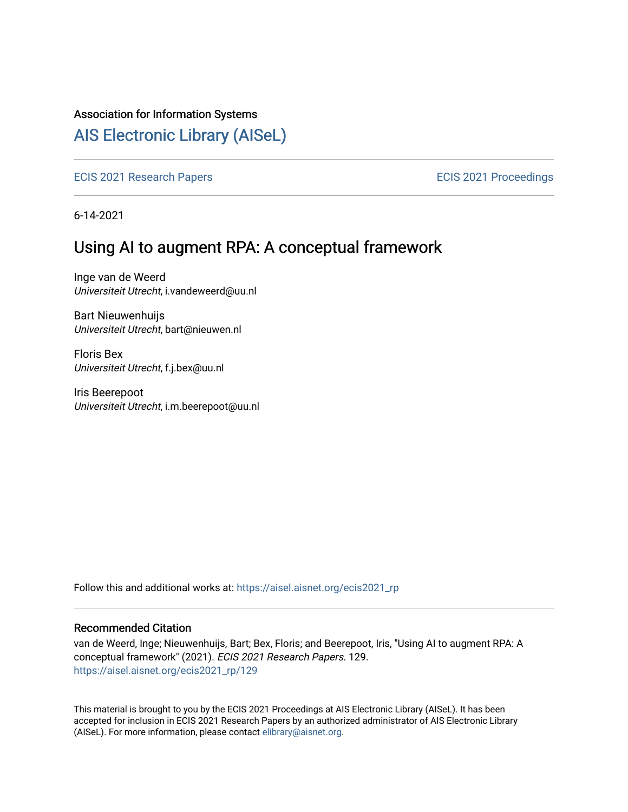#### Association for Information Systems

# [AIS Electronic Library \(AISeL\)](https://aisel.aisnet.org/)

[ECIS 2021 Research Papers](https://aisel.aisnet.org/ecis2021_rp) **ECIS 2021 Proceedings** 

6-14-2021

# Using AI to augment RPA: A conceptual framework

Inge van de Weerd Universiteit Utrecht, i.vandeweerd@uu.nl

Bart Nieuwenhuijs Universiteit Utrecht, bart@nieuwen.nl

Floris Bex Universiteit Utrecht, f.j.bex@uu.nl

Iris Beerepoot Universiteit Utrecht, i.m.beerepoot@uu.nl

Follow this and additional works at: [https://aisel.aisnet.org/ecis2021\\_rp](https://aisel.aisnet.org/ecis2021_rp?utm_source=aisel.aisnet.org%2Fecis2021_rp%2F129&utm_medium=PDF&utm_campaign=PDFCoverPages)

#### Recommended Citation

van de Weerd, Inge; Nieuwenhuijs, Bart; Bex, Floris; and Beerepoot, Iris, "Using AI to augment RPA: A conceptual framework" (2021). ECIS 2021 Research Papers. 129. [https://aisel.aisnet.org/ecis2021\\_rp/129](https://aisel.aisnet.org/ecis2021_rp/129?utm_source=aisel.aisnet.org%2Fecis2021_rp%2F129&utm_medium=PDF&utm_campaign=PDFCoverPages)

This material is brought to you by the ECIS 2021 Proceedings at AIS Electronic Library (AISeL). It has been accepted for inclusion in ECIS 2021 Research Papers by an authorized administrator of AIS Electronic Library (AISeL). For more information, please contact [elibrary@aisnet.org](mailto:elibrary@aisnet.org%3E).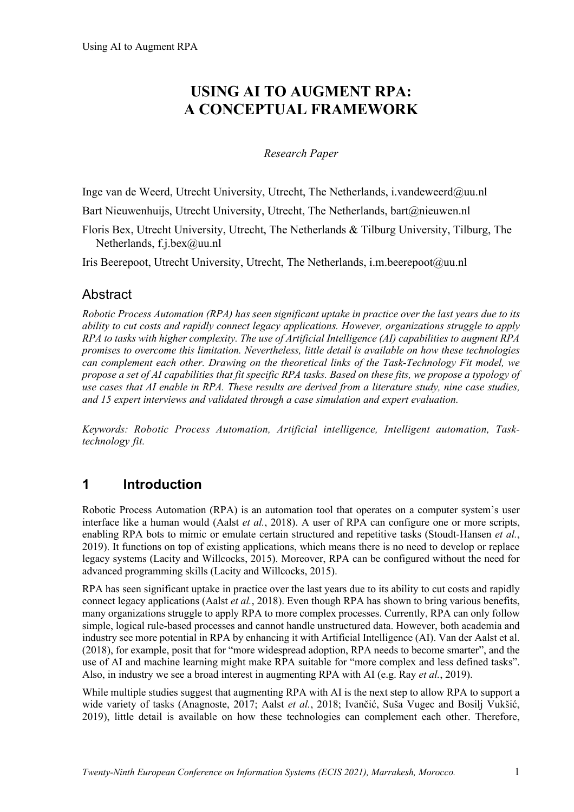# **USING AI TO AUGMENT RPA: A CONCEPTUAL FRAMEWORK**

#### *Research Paper*

Inge van de Weerd, Utrecht University, Utrecht, The Netherlands, i.vandeweerd@uu.nl

Bart Nieuwenhuijs, Utrecht University, Utrecht, The Netherlands, bart@nieuwen.nl

Floris Bex, Utrecht University, Utrecht, The Netherlands & Tilburg University, Tilburg, The Netherlands, f.j.bex@uu.nl

Iris Beerepoot, Utrecht University, Utrecht, The Netherlands, i.m.beerepoot@uu.nl

## **Abstract**

*Robotic Process Automation (RPA) has seen significant uptake in practice over the last years due to its ability to cut costs and rapidly connect legacy applications. However, organizations struggle to apply RPA to tasks with higher complexity. The use of Artificial Intelligence (AI) capabilities to augment RPA promises to overcome this limitation. Nevertheless, little detail is available on how these technologies can complement each other. Drawing on the theoretical links of the Task-Technology Fit model, we propose a set of AI capabilities that fit specific RPA tasks. Based on these fits, we propose a typology of use cases that AI enable in RPA. These results are derived from a literature study, nine case studies, and 15 expert interviews and validated through a case simulation and expert evaluation.*

*Keywords: Robotic Process Automation, Artificial intelligence, Intelligent automation, Tasktechnology fit.*

### **1 Introduction**

Robotic Process Automation (RPA) is an automation tool that operates on a computer system's user interface like a human would (Aalst *et al.*, 2018). A user of RPA can configure one or more scripts, enabling RPA bots to mimic or emulate certain structured and repetitive tasks (Stoudt-Hansen *et al.*, 2019). It functions on top of existing applications, which means there is no need to develop or replace legacy systems (Lacity and Willcocks, 2015). Moreover, RPA can be configured without the need for advanced programming skills (Lacity and Willcocks, 2015).

RPA has seen significant uptake in practice over the last years due to its ability to cut costs and rapidly connect legacy applications (Aalst *et al.*, 2018). Even though RPA has shown to bring various benefits, many organizations struggle to apply RPA to more complex processes. Currently, RPA can only follow simple, logical rule-based processes and cannot handle unstructured data. However, both academia and industry see more potential in RPA by enhancing it with Artificial Intelligence (AI). Van der Aalst et al. (2018), for example, posit that for "more widespread adoption, RPA needs to become smarter", and the use of AI and machine learning might make RPA suitable for "more complex and less defined tasks". Also, in industry we see a broad interest in augmenting RPA with AI (e.g. Ray *et al.*, 2019).

While multiple studies suggest that augmenting RPA with AI is the next step to allow RPA to support a wide variety of tasks (Anagnoste, 2017; Aalst *et al.*, 2018; Ivančić, Suša Vugec and Bosilj Vukšić, 2019), little detail is available on how these technologies can complement each other. Therefore,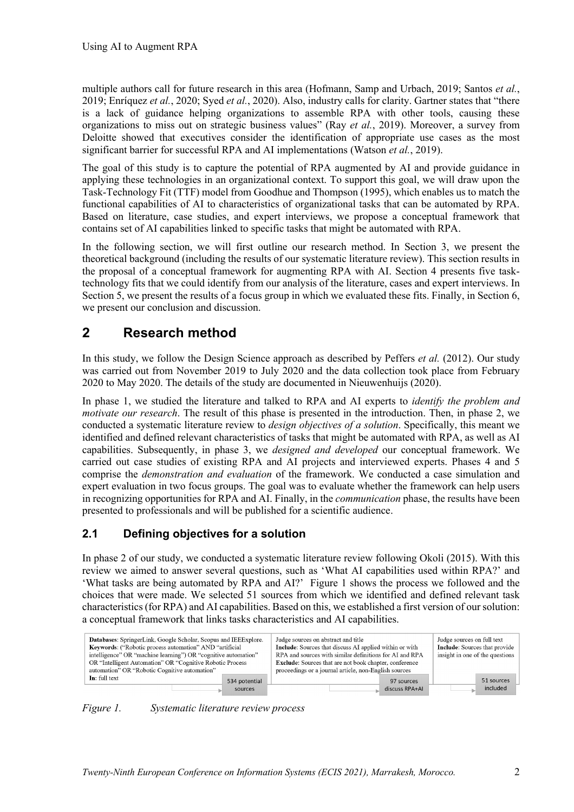multiple authors call for future research in this area (Hofmann, Samp and Urbach, 2019; Santos *et al.*, 2019; Enríquez *et al.*, 2020; Syed *et al.*, 2020). Also, industry calls for clarity. Gartner states that "there is a lack of guidance helping organizations to assemble RPA with other tools, causing these organizations to miss out on strategic business values" (Ray *et al.*, 2019). Moreover, a survey from Deloitte showed that executives consider the identification of appropriate use cases as the most significant barrier for successful RPA and AI implementations (Watson *et al.*, 2019).

The goal of this study is to capture the potential of RPA augmented by AI and provide guidance in applying these technologies in an organizational context. To support this goal, we will draw upon the Task-Technology Fit (TTF) model from Goodhue and Thompson (1995), which enables us to match the functional capabilities of AI to characteristics of organizational tasks that can be automated by RPA. Based on literature, case studies, and expert interviews, we propose a conceptual framework that contains set of AI capabilities linked to specific tasks that might be automated with RPA.

In the following section, we will first outline our research method. In Section 3, we present the theoretical background (including the results of our systematic literature review). This section results in the proposal of a conceptual framework for augmenting RPA with AI. Section 4 presents five tasktechnology fits that we could identify from our analysis of the literature, cases and expert interviews. In Section 5, we present the results of a focus group in which we evaluated these fits. Finally, in Section 6, we present our conclusion and discussion.

# **2 Research method**

In this study, we follow the Design Science approach as described by Peffers *et al.* (2012). Our study was carried out from November 2019 to July 2020 and the data collection took place from February 2020 to May 2020. The details of the study are documented in Nieuwenhuijs (2020).

In phase 1, we studied the literature and talked to RPA and AI experts to *identify the problem and motivate our research*. The result of this phase is presented in the introduction. Then, in phase 2, we conducted a systematic literature review to *design objectives of a solution*. Specifically, this meant we identified and defined relevant characteristics of tasks that might be automated with RPA, as well as AI capabilities. Subsequently, in phase 3, we *designed and developed* our conceptual framework. We carried out case studies of existing RPA and AI projects and interviewed experts. Phases 4 and 5 comprise the *demonstration and evaluation* of the framework. We conducted a case simulation and expert evaluation in two focus groups. The goal was to evaluate whether the framework can help users in recognizing opportunities for RPA and AI. Finally, in the *communication* phase, the results have been presented to professionals and will be published for a scientific audience.

## **2.1 Defining objectives for a solution**

In phase 2 of our study, we conducted a systematic literature review following Okoli (2015). With this review we aimed to answer several questions, such as 'What AI capabilities used within RPA?' and 'What tasks are being automated by RPA and AI?' Figure 1 shows the process we followed and the choices that were made. We selected 51 sources from which we identified and defined relevant task characteristics (for RPA) and AI capabilities. Based on this, we established a first version of our solution: a conceptual framework that links tasks characteristics and AI capabilities.



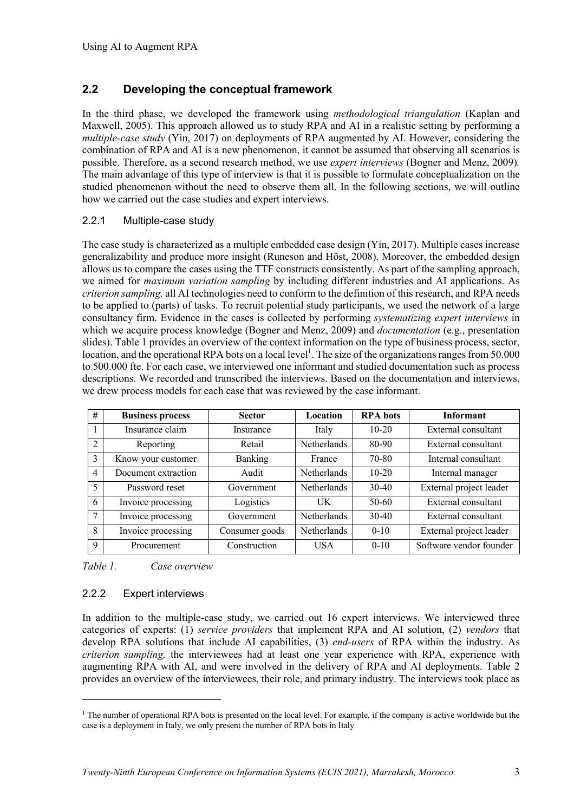#### **2.2 Developing the conceptual framework**

In the third phase, we developed the framework using *methodological triangulation* (Kaplan and Maxwell, 2005). This approach allowed us to study RPA and AI in a realistic setting by performing a *multiple-case study* (Yin, 2017) on deployments of RPA augmented by AI. However, considering the combination of RPA and AI is a new phenomenon, it cannot be assumed that observing all scenarios is possible. Therefore, as a second research method, we use *expert interviews* (Bogner and Menz, 2009)*.*  The main advantage of this type of interview is that it is possible to formulate conceptualization on the studied phenomenon without the need to observe them all. In the following sections, we will outline how we carried out the case studies and expert interviews.

#### 2.2.1 Multiple-case study

The case study is characterized as a multiple embedded case design (Yin, 2017). Multiple cases increase generalizability and produce more insight (Runeson and Höst, 2008). Moreover, the embedded design allows us to compare the cases using the TTF constructs consistently. As part of the sampling approach, we aimed for *maximum variation sampling* by including different industries and AI applications. As *criterion sampling,* all AI technologies need to conform to the definition of this research, and RPA needs to be applied to (parts) of tasks. To recruit potential study participants, we used the network of a large consultancy firm. Evidence in the cases is collected by performing *systematizing expert interviews* in which we acquire process knowledge (Bogner and Menz, 2009) and *documentation* (e.g., presentation slides). Table 1 provides an overview of the context information on the type of business process, sector, location, and the operational RPA bots on a local level<sup>1</sup>. The size of the organizations ranges from 50.000 to 500.000 fte. For each case, we interviewed one informant and studied documentation such as process descriptions. We recorded and transcribed the interviews. Based on the documentation and interviews, we drew process models for each case that was reviewed by the case informant.

| #              | <b>Business process</b> | <b>Sector</b>  | Location           | <b>RPA</b> bots | <b>Informant</b>        |
|----------------|-------------------------|----------------|--------------------|-----------------|-------------------------|
|                | Insurance claim         | Insurance      | Italy              | $10 - 20$       | External consultant     |
| $\mathfrak{D}$ | Reporting               | Retail         | <b>Netherlands</b> | 80-90           | External consultant     |
| 3              | Know your customer      | <b>Banking</b> | France             | 70-80           | Internal consultant     |
| $\overline{4}$ | Document extraction     | Audit          | <b>Netherlands</b> | $10 - 20$       | Internal manager        |
| 5              | Password reset          | Government     | <b>Netherlands</b> | $30 - 40$       | External project leader |
| 6              | Invoice processing      | Logistics      | <b>UK</b>          | 50-60           | External consultant     |
| 7              | Invoice processing      | Government     | <b>Netherlands</b> | $30-40$         | External consultant     |
| 8              | Invoice processing      | Consumer goods | <b>Netherlands</b> | $0-10$          | External project leader |
| 9              | Procurement             | Construction   | <b>USA</b>         | $0-10$          | Software vendor founder |

*Table 1. Case overview*

#### 2.2.2 Expert interviews

In addition to the multiple-case study, we carried out 16 expert interviews. We interviewed three categories of experts: (1) *service providers* that implement RPA and AI solution, (2) *vendors* that develop RPA solutions that include AI capabilities, (3) *end-users* of RPA within the industry. As *criterion sampling,* the interviewees had at least one year experience with RPA, experience with augmenting RPA with AI, and were involved in the delivery of RPA and AI deployments. Table 2 provides an overview of the interviewees, their role, and primary industry. The interviews took place as

 $1$  The number of operational RPA bots is presented on the local level. For example, if the company is active worldwide but the case is a deployment in Italy, we only present the number of RPA bots in Italy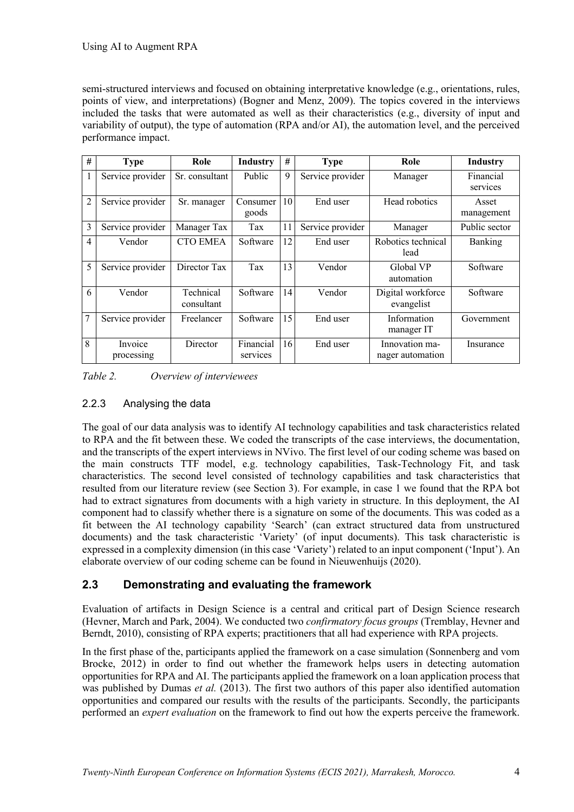semi-structured interviews and focused on obtaining interpretative knowledge (e.g., orientations, rules, points of view, and interpretations) (Bogner and Menz, 2009). The topics covered in the interviews included the tasks that were automated as well as their characteristics (e.g., diversity of input and variability of output), the type of automation (RPA and/or AI), the automation level, and the perceived performance impact.

| #              | <b>Type</b>           | Role                    | <b>Industry</b>       | #  | <b>Type</b>      | Role                               | <b>Industry</b>       |
|----------------|-----------------------|-------------------------|-----------------------|----|------------------|------------------------------------|-----------------------|
|                | Service provider      | Sr. consultant          | Public                | 9  | Service provider | Manager                            | Financial<br>services |
| $\overline{2}$ | Service provider      | Sr. manager             | Consumer<br>goods     | 10 | End user         | Head robotics                      | Asset<br>management   |
| 3              | Service provider      | Manager Tax             | Tax                   | 11 | Service provider | Manager                            | Public sector         |
| 4              | Vendor                | <b>CTO EMEA</b>         | Software              | 12 | End user         | Robotics technical<br>lead         | <b>Banking</b>        |
| 5              | Service provider      | Director Tax            | Tax                   | 13 | Vendor           | Global VP<br>automation            | Software              |
| 6              | Vendor                | Technical<br>consultant | Software              | 14 | Vendor           | Digital workforce<br>evangelist    | Software              |
| 7              | Service provider      | Freelancer              | Software              | 15 | End user         | Information<br>manager IT          | Government            |
| 8              | Invoice<br>processing | Director                | Financial<br>services | 16 | End user         | Innovation ma-<br>nager automation | Insurance             |

*Table 2. Overview of interviewees*

#### 2.2.3 Analysing the data

The goal of our data analysis was to identify AI technology capabilities and task characteristics related to RPA and the fit between these. We coded the transcripts of the case interviews, the documentation, and the transcripts of the expert interviews in NVivo. The first level of our coding scheme was based on the main constructs TTF model, e.g. technology capabilities, Task-Technology Fit, and task characteristics. The second level consisted of technology capabilities and task characteristics that resulted from our literature review (see Section 3). For example, in case 1 we found that the RPA bot had to extract signatures from documents with a high variety in structure. In this deployment, the AI component had to classify whether there is a signature on some of the documents. This was coded as a fit between the AI technology capability 'Search' (can extract structured data from unstructured documents) and the task characteristic 'Variety' (of input documents). This task characteristic is expressed in a complexity dimension (in this case 'Variety') related to an input component ('Input'). An elaborate overview of our coding scheme can be found in Nieuwenhuijs (2020).

## **2.3 Demonstrating and evaluating the framework**

Evaluation of artifacts in Design Science is a central and critical part of Design Science research (Hevner, March and Park, 2004). We conducted two *confirmatory focus groups* (Tremblay, Hevner and Berndt, 2010), consisting of RPA experts; practitioners that all had experience with RPA projects.

In the first phase of the, participants applied the framework on a case simulation (Sonnenberg and vom Brocke, 2012) in order to find out whether the framework helps users in detecting automation opportunities for RPA and AI. The participants applied the framework on a loan application process that was published by Dumas *et al.* (2013). The first two authors of this paper also identified automation opportunities and compared our results with the results of the participants. Secondly, the participants performed an *expert evaluation* on the framework to find out how the experts perceive the framework.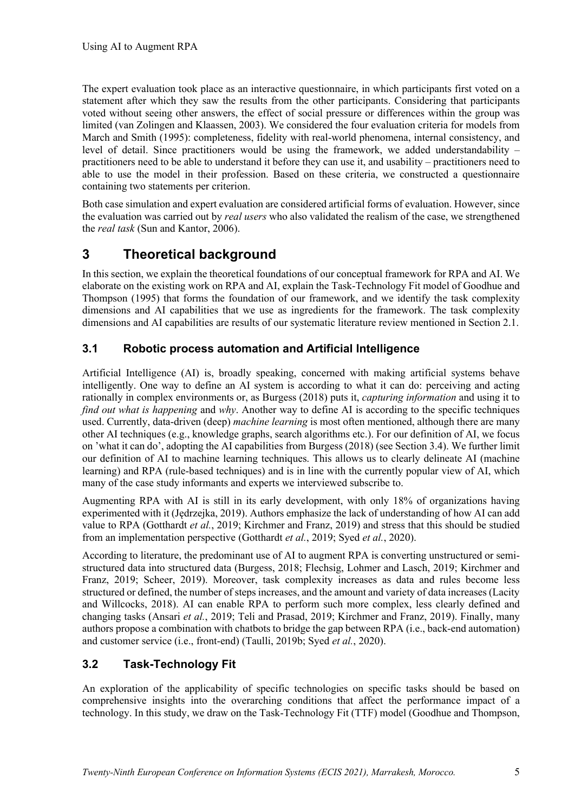The expert evaluation took place as an interactive questionnaire, in which participants first voted on a statement after which they saw the results from the other participants. Considering that participants voted without seeing other answers, the effect of social pressure or differences within the group was limited (van Zolingen and Klaassen, 2003). We considered the four evaluation criteria for models from March and Smith (1995): completeness, fidelity with real-world phenomena, internal consistency, and level of detail. Since practitioners would be using the framework, we added understandability – practitioners need to be able to understand it before they can use it, and usability – practitioners need to able to use the model in their profession. Based on these criteria, we constructed a questionnaire containing two statements per criterion.

Both case simulation and expert evaluation are considered artificial forms of evaluation. However, since the evaluation was carried out by *real users* who also validated the realism of the case, we strengthened the *real task* (Sun and Kantor, 2006).

# **3 Theoretical background**

In this section, we explain the theoretical foundations of our conceptual framework for RPA and AI. We elaborate on the existing work on RPA and AI, explain the Task-Technology Fit model of Goodhue and Thompson (1995) that forms the foundation of our framework, and we identify the task complexity dimensions and AI capabilities that we use as ingredients for the framework. The task complexity dimensions and AI capabilities are results of our systematic literature review mentioned in Section 2.1.

### **3.1 Robotic process automation and Artificial Intelligence**

Artificial Intelligence (AI) is, broadly speaking, concerned with making artificial systems behave intelligently. One way to define an AI system is according to what it can do: perceiving and acting rationally in complex environments or, as Burgess (2018) puts it, *capturing information* and using it to *find out what is happening* and *why*. Another way to define AI is according to the specific techniques used. Currently, data-driven (deep) *machine learning* is most often mentioned, although there are many other AI techniques (e.g., knowledge graphs, search algorithms etc.). For our definition of AI, we focus on 'what it can do', adopting the AI capabilities from Burgess (2018) (see Section 3.4). We further limit our definition of AI to machine learning techniques. This allows us to clearly delineate AI (machine learning) and RPA (rule-based techniques) and is in line with the currently popular view of AI, which many of the case study informants and experts we interviewed subscribe to.

Augmenting RPA with AI is still in its early development, with only 18% of organizations having experimented with it (Jędrzejka, 2019). Authors emphasize the lack of understanding of how AI can add value to RPA (Gotthardt *et al.*, 2019; Kirchmer and Franz, 2019) and stress that this should be studied from an implementation perspective (Gotthardt *et al.*, 2019; Syed *et al.*, 2020).

According to literature, the predominant use of AI to augment RPA is converting unstructured or semistructured data into structured data (Burgess, 2018; Flechsig, Lohmer and Lasch, 2019; Kirchmer and Franz, 2019; Scheer, 2019). Moreover, task complexity increases as data and rules become less structured or defined, the number of steps increases, and the amount and variety of data increases (Lacity and Willcocks, 2018). AI can enable RPA to perform such more complex, less clearly defined and changing tasks (Ansari *et al.*, 2019; Teli and Prasad, 2019; Kirchmer and Franz, 2019). Finally, many authors propose a combination with chatbots to bridge the gap between RPA (i.e., back-end automation) and customer service (i.e., front-end) (Taulli, 2019b; Syed *et al.*, 2020).

## **3.2 Task-Technology Fit**

An exploration of the applicability of specific technologies on specific tasks should be based on comprehensive insights into the overarching conditions that affect the performance impact of a technology. In this study, we draw on the Task-Technology Fit (TTF) model (Goodhue and Thompson,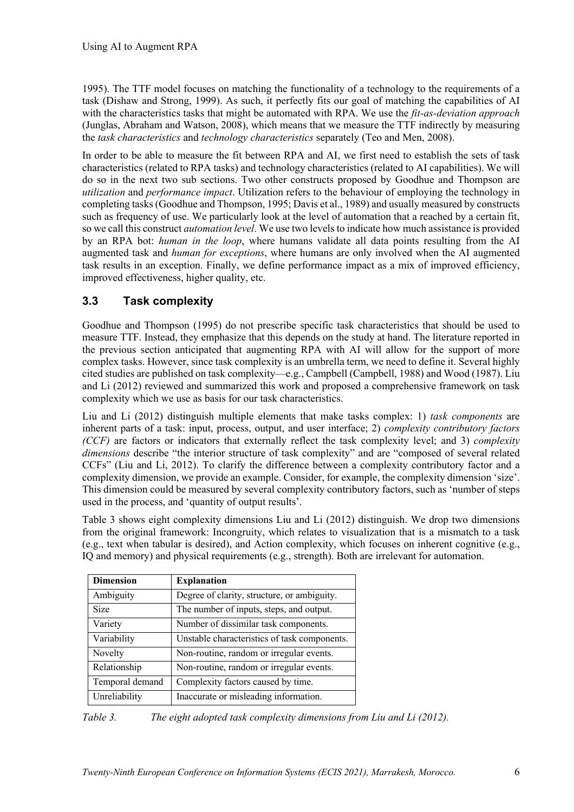1995). The TTF model focuses on matching the functionality of a technology to the requirements of a task (Dishaw and Strong, 1999). As such, it perfectly fits our goal of matching the capabilities of AI with the characteristics tasks that might be automated with RPA. We use the *fit-as-deviation approach* (Junglas, Abraham and Watson, 2008), which means that we measure the TTF indirectly by measuring the *task characteristics* and *technology characteristics* separately (Teo and Men, 2008).

In order to be able to measure the fit between RPA and AI, we first need to establish the sets of task characteristics (related to RPA tasks) and technology characteristics (related to AI capabilities). We will do so in the next two sub sections. Two other constructs proposed by Goodhue and Thompson are *utilization* and *performance impact*. Utilization refers to the behaviour of employing the technology in completing tasks (Goodhue and Thompson, 1995; Davis et al., 1989) and usually measured by constructs such as frequency of use. We particularly look at the level of automation that a reached by a certain fit, so we call this construct *automation level*. We use two levelsto indicate how much assistance is provided by an RPA bot: *human in the loop*, where humans validate all data points resulting from the AI augmented task and *human for exceptions*, where humans are only involved when the AI augmented task results in an exception. Finally, we define performance impact as a mix of improved efficiency, improved effectiveness, higher quality, etc.

## **3.3 Task complexity**

Goodhue and Thompson (1995) do not prescribe specific task characteristics that should be used to measure TTF. Instead, they emphasize that this depends on the study at hand. The literature reported in the previous section anticipated that augmenting RPA with AI will allow for the support of more complex tasks. However, since task complexity is an umbrella term, we need to define it. Several highly cited studies are published on task complexity—e.g., Campbell (Campbell, 1988) and Wood (1987). Liu and Li (2012) reviewed and summarized this work and proposed a comprehensive framework on task complexity which we use as basis for our task characteristics.

Liu and Li (2012) distinguish multiple elements that make tasks complex: 1) *task components* are inherent parts of a task: input, process, output, and user interface; 2) *complexity contributory factors (CCF)* are factors or indicators that externally reflect the task complexity level; and 3) *complexity dimensions* describe "the interior structure of task complexity" and are "composed of several related CCFs" (Liu and Li, 2012). To clarify the difference between a complexity contributory factor and a complexity dimension, we provide an example. Consider, for example, the complexity dimension 'size'. This dimension could be measured by several complexity contributory factors, such as 'number of steps used in the process, and 'quantity of output results'.

Table 3 shows eight complexity dimensions Liu and Li (2012) distinguish. We drop two dimensions from the original framework: Incongruity, which relates to visualization that is a mismatch to a task (e.g., text when tabular is desired), and Action complexity, which focuses on inherent cognitive (e.g., IQ and memory) and physical requirements (e.g., strength). Both are irrelevant for automation.

| <b>Dimension</b> | <b>Explanation</b>                           |  |  |
|------------------|----------------------------------------------|--|--|
| Ambiguity        | Degree of clarity, structure, or ambiguity.  |  |  |
| <b>Size</b>      | The number of inputs, steps, and output.     |  |  |
| Variety          | Number of dissimilar task components.        |  |  |
| Variability      | Unstable characteristics of task components. |  |  |
| Novelty          | Non-routine, random or irregular events.     |  |  |
| Relationship     | Non-routine, random or irregular events.     |  |  |
| Temporal demand  | Complexity factors caused by time.           |  |  |
| Unreliability    | Inaccurate or misleading information.        |  |  |

*Table 3. The eight adopted task complexity dimensions from Liu and Li (2012).*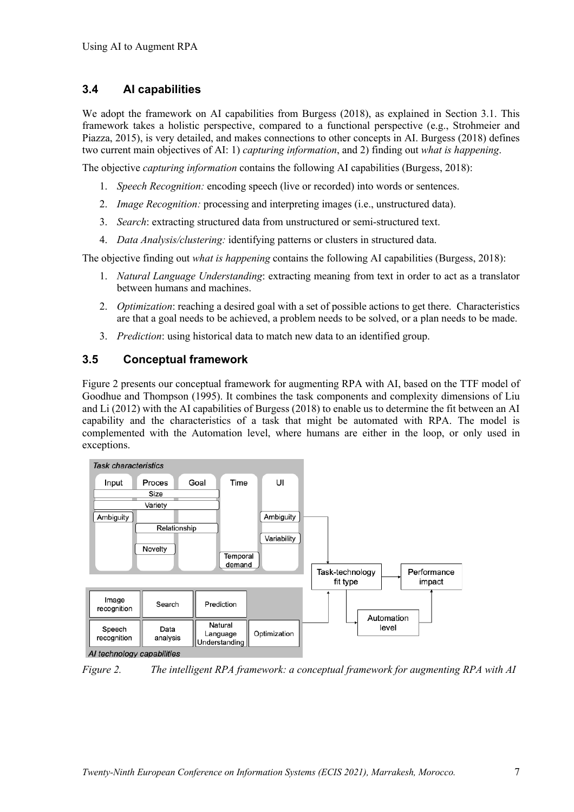#### **3.4 AI capabilities**

We adopt the framework on AI capabilities from Burgess (2018), as explained in Section 3.1. This framework takes a holistic perspective, compared to a functional perspective (e.g., Strohmeier and Piazza, 2015), is very detailed, and makes connections to other concepts in AI. Burgess (2018) defines two current main objectives of AI: 1) *capturing information*, and 2) finding out *what is happening*.

The objective *capturing information* contains the following AI capabilities (Burgess, 2018):

- 1. *Speech Recognition:* encoding speech (live or recorded) into words or sentences.
- 2. *Image Recognition:* processing and interpreting images (i.e., unstructured data).
- 3. *Search*: extracting structured data from unstructured or semi-structured text.
- 4. *Data Analysis/clustering:* identifying patterns or clusters in structured data.

The objective finding out *what is happening* contains the following AI capabilities (Burgess, 2018):

- 1. *Natural Language Understanding*: extracting meaning from text in order to act as a translator between humans and machines.
- 2. *Optimization*: reaching a desired goal with a set of possible actions to get there. Characteristics are that a goal needs to be achieved, a problem needs to be solved, or a plan needs to be made.
- 3. *Prediction*: using historical data to match new data to an identified group.

#### **3.5 Conceptual framework**

Figure 2 presents our conceptual framework for augmenting RPA with AI, based on the TTF model of Goodhue and Thompson (1995). It combines the task components and complexity dimensions of Liu and Li (2012) with the AI capabilities of Burgess (2018) to enable us to determine the fit between an AI capability and the characteristics of a task that might be automated with RPA. The model is complemented with the Automation level, where humans are either in the loop, or only used in exceptions.



*Figure 2. The intelligent RPA framework: a conceptual framework for augmenting RPA with AI*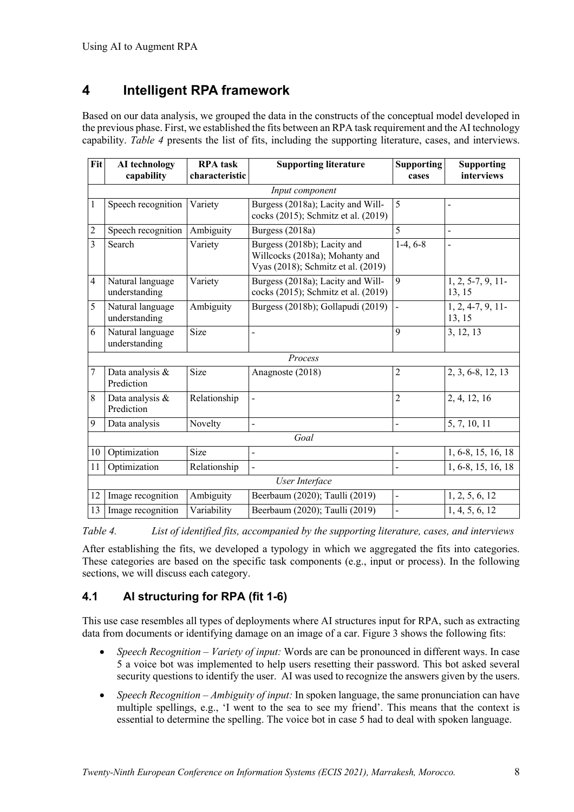# **4 Intelligent RPA framework**

Based on our data analysis, we grouped the data in the constructs of the conceptual model developed in the previous phase. First, we established the fits between an RPA task requirement and the AI technology capability. *Table 4* presents the list of fits, including the supporting literature, cases, and interviews.

| Fit             | AI technology<br>capability       | <b>RPA</b> task<br>characteristic | <b>Supporting literature</b>                                                                        | <b>Supporting</b><br>cases   | <b>Supporting</b><br>interviews |  |  |  |  |
|-----------------|-----------------------------------|-----------------------------------|-----------------------------------------------------------------------------------------------------|------------------------------|---------------------------------|--|--|--|--|
| Input component |                                   |                                   |                                                                                                     |                              |                                 |  |  |  |  |
| 1               | Speech recognition                | Variety                           | Burgess (2018a); Lacity and Will-<br>cocks (2015); Schmitz et al. (2019)                            | 5                            | $\overline{a}$                  |  |  |  |  |
| $\overline{2}$  | Speech recognition                | Ambiguity                         | Burgess (2018a)                                                                                     | 5                            | $\blacksquare$                  |  |  |  |  |
| $\overline{3}$  | Search                            | Variety                           | Burgess (2018b); Lacity and<br>Willcocks (2018a); Mohanty and<br>Vyas (2018); Schmitz et al. (2019) | $1-4, 6-8$                   | $\blacksquare$                  |  |  |  |  |
| $\overline{4}$  | Natural language<br>understanding | Variety                           | Burgess (2018a); Lacity and Will-<br>cocks (2015); Schmitz et al. (2019)                            | 9                            | $1, 2, 5-7, 9, 11-$<br>13, 15   |  |  |  |  |
| 5               | Natural language<br>understanding | Ambiguity                         | Burgess (2018b); Gollapudi (2019)                                                                   | $\overline{a}$               | $1, 2, 4-7, 9, 11-$<br>13, 15   |  |  |  |  |
| 6               | Natural language<br>understanding | Size                              | -                                                                                                   | $\mathbf Q$                  | 3, 12, 13                       |  |  |  |  |
|                 |                                   |                                   | Process                                                                                             |                              |                                 |  |  |  |  |
| $\overline{7}$  | Data analysis &<br>Prediction     | Size                              | Anagnoste (2018)                                                                                    | $\overline{c}$               | 2, 3, 6-8, 12, 13               |  |  |  |  |
| 8               | Data analysis &<br>Prediction     | Relationship                      | $\overline{a}$                                                                                      | $\overline{2}$               | 2, 4, 12, 16                    |  |  |  |  |
| 9               | Data analysis                     | Novelty                           | $\overline{a}$                                                                                      | $\overline{a}$               | 5, 7, 10, 11                    |  |  |  |  |
|                 | Goal                              |                                   |                                                                                                     |                              |                                 |  |  |  |  |
| 10              | Optimization                      | Size                              | $\overline{\phantom{0}}$                                                                            | $\qquad \qquad -$            | 1, 6-8, 15, 16, 18              |  |  |  |  |
| 11              | Optimization                      | Relationship                      | $\overline{\phantom{0}}$                                                                            | $\overline{a}$               | 1, 6-8, 15, 16, 18              |  |  |  |  |
| User Interface  |                                   |                                   |                                                                                                     |                              |                                 |  |  |  |  |
| 12              | Image recognition                 | Ambiguity                         | Beerbaum (2020); Taulli (2019)                                                                      | $\blacksquare$               | 1, 2, 5, 6, 12                  |  |  |  |  |
| 13              | Image recognition                 | Variability                       | Beerbaum (2020); Taulli (2019)                                                                      | $\qquad \qquad \blacksquare$ | 1, 4, 5, 6, 12                  |  |  |  |  |

*Table 4. List of identified fits, accompanied by the supporting literature, cases, and interviews*

After establishing the fits, we developed a typology in which we aggregated the fits into categories. These categories are based on the specific task components (e.g., input or process). In the following sections, we will discuss each category.

### **4.1 AI structuring for RPA (fit 1-6)**

This use case resembles all types of deployments where AI structures input for RPA, such as extracting data from documents or identifying damage on an image of a car. Figure 3 shows the following fits:

- *Speech Recognition – Variety of input:* Words are can be pronounced in different ways. In case 5 a voice bot was implemented to help users resetting their password. This bot asked several security questions to identify the user. AI was used to recognize the answers given by the users.
- *Speech Recognition – Ambiguity of input:* In spoken language, the same pronunciation can have multiple spellings, e.g., 'I went to the sea to see my friend'. This means that the context is essential to determine the spelling. The voice bot in case 5 had to deal with spoken language.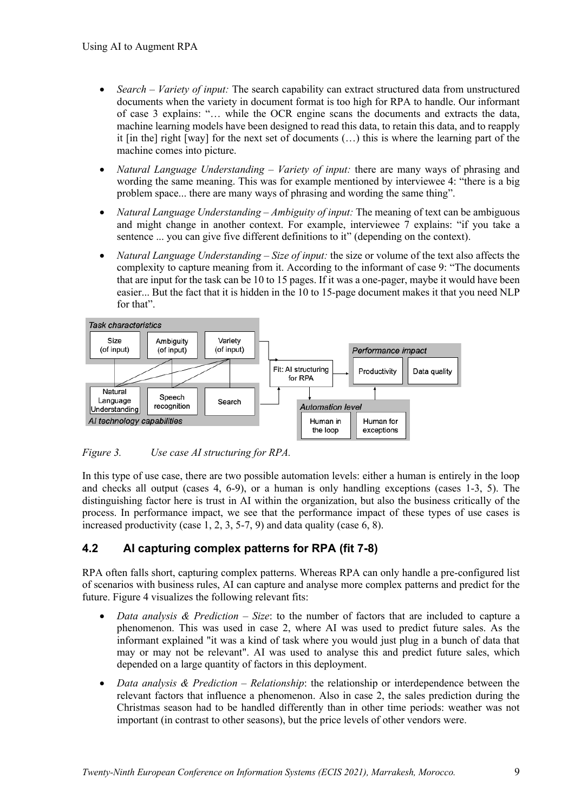- *Search – Variety of input:* The search capability can extract structured data from unstructured documents when the variety in document format is too high for RPA to handle. Our informant of case 3 explains: "… while the OCR engine scans the documents and extracts the data, machine learning models have been designed to read this data, to retain this data, and to reapply it  $\lceil \text{in the} \rceil$  right  $\lceil \text{way} \rceil$  for the next set of documents  $(\ldots)$  this is where the learning part of the machine comes into picture.
- *Natural Language Understanding Variety of input:* there are many ways of phrasing and wording the same meaning. This was for example mentioned by interviewee 4: "there is a big problem space... there are many ways of phrasing and wording the same thing".
- *Natural Language Understanding – Ambiguity of input:* The meaning of text can be ambiguous and might change in another context. For example, interviewee 7 explains: "if you take a sentence ... you can give five different definitions to it" (depending on the context).
- *Natural Language Understanding – Size of input:* the size or volume of the text also affects the complexity to capture meaning from it. According to the informant of case 9: "The documents that are input for the task can be 10 to 15 pages. If it was a one-pager, maybe it would have been easier... But the fact that it is hidden in the 10 to 15-page document makes it that you need NLP for that".



*Figure 3. Use case AI structuring for RPA.*

In this type of use case, there are two possible automation levels: either a human is entirely in the loop and checks all output (cases 4, 6-9), or a human is only handling exceptions (cases 1-3, 5). The distinguishing factor here is trust in AI within the organization, but also the business critically of the process. In performance impact, we see that the performance impact of these types of use cases is increased productivity (case 1, 2, 3, 5-7, 9) and data quality (case 6, 8).

## **4.2 AI capturing complex patterns for RPA (fit 7-8)**

RPA often falls short, capturing complex patterns. Whereas RPA can only handle a pre-configured list of scenarios with business rules, AI can capture and analyse more complex patterns and predict for the future. Figure 4 visualizes the following relevant fits:

- *Data analysis & Prediction – Size*: to the number of factors that are included to capture a phenomenon. This was used in case 2, where AI was used to predict future sales. As the informant explained "it was a kind of task where you would just plug in a bunch of data that may or may not be relevant". AI was used to analyse this and predict future sales, which depended on a large quantity of factors in this deployment.
- *Data analysis & Prediction – Relationship*: the relationship or interdependence between the relevant factors that influence a phenomenon. Also in case 2, the sales prediction during the Christmas season had to be handled differently than in other time periods: weather was not important (in contrast to other seasons), but the price levels of other vendors were.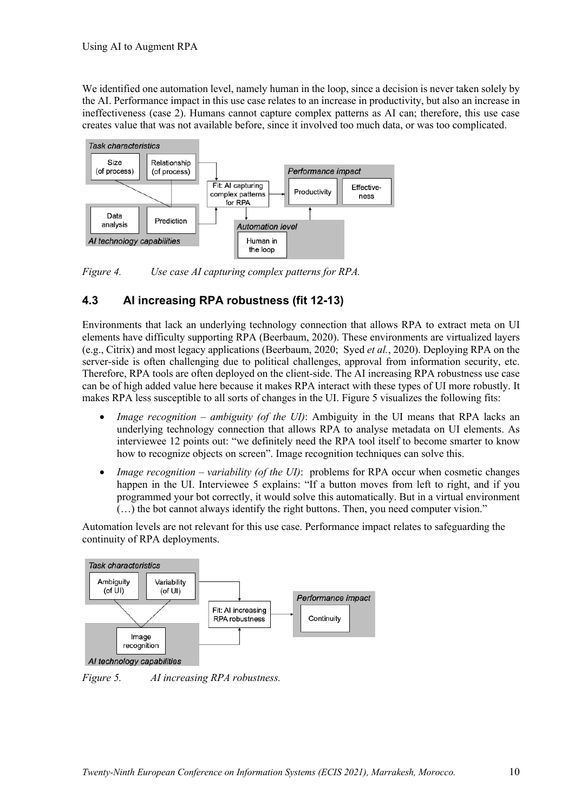We identified one automation level, namely human in the loop, since a decision is never taken solely by the AI. Performance impact in this use case relates to an increase in productivity, but also an increase in ineffectiveness (case 2). Humans cannot capture complex patterns as AI can; therefore, this use case creates value that was not available before, since it involved too much data, or was too complicated.



*Figure 4. Use case AI capturing complex patterns for RPA.*

### **4.3 AI increasing RPA robustness (fit 12-13)**

Environments that lack an underlying technology connection that allows RPA to extract meta on UI elements have difficulty supporting RPA (Beerbaum, 2020). These environments are virtualized layers (e.g., Citrix) and most legacy applications (Beerbaum, 2020; Syed *et al.*, 2020). Deploying RPA on the server-side is often challenging due to political challenges, approval from information security, etc. Therefore, RPA tools are often deployed on the client-side. The AI increasing RPA robustness use case can be of high added value here because it makes RPA interact with these types of UI more robustly. It makes RPA less susceptible to all sorts of changes in the UI. Figure 5 visualizes the following fits:

- *Image recognition – ambiguity (of the UI)*: Ambiguity in the UI means that RPA lacks an underlying technology connection that allows RPA to analyse metadata on UI elements. As interviewee 12 points out: "we definitely need the RPA tool itself to become smarter to know how to recognize objects on screen". Image recognition techniques can solve this.
- *Image recognition variability (of the UI)*: problems for RPA occur when cosmetic changes happen in the UI. Interviewee 5 explains: "If a button moves from left to right, and if you programmed your bot correctly, it would solve this automatically. But in a virtual environment (…) the bot cannot always identify the right buttons. Then, you need computer vision."

Automation levels are not relevant for this use case. Performance impact relates to safeguarding the continuity of RPA deployments.



*Figure 5. AI increasing RPA robustness.*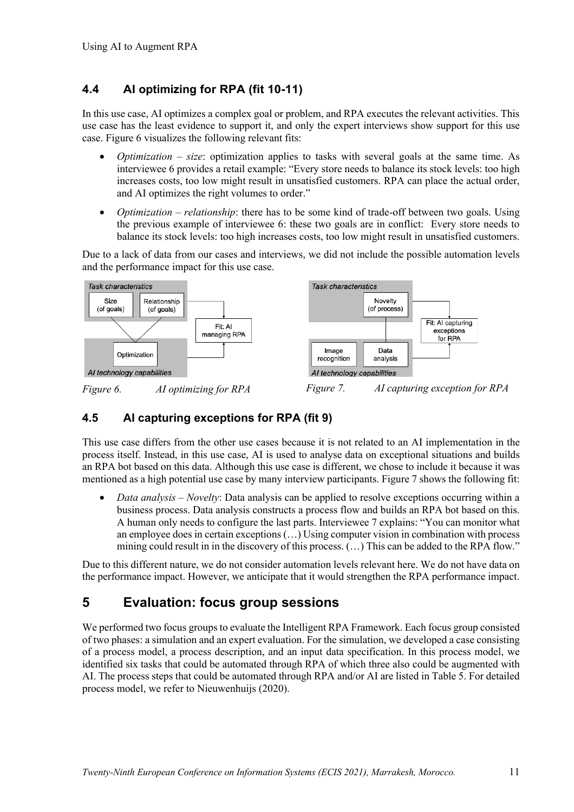### **4.4 AI optimizing for RPA (fit 10-11)**

In this use case, AI optimizes a complex goal or problem, and RPA executes the relevant activities. This use case has the least evidence to support it, and only the expert interviews show support for this use case. Figure 6 visualizes the following relevant fits:

- *Optimization – size*: optimization applies to tasks with several goals at the same time. As interviewee 6 provides a retail example: "Every store needs to balance its stock levels: too high increases costs, too low might result in unsatisfied customers. RPA can place the actual order, and AI optimizes the right volumes to order."
- *Optimization relationship*: there has to be some kind of trade-off between two goals. Using the previous example of interviewee 6: these two goals are in conflict: Every store needs to balance its stock levels: too high increases costs, too low might result in unsatisfied customers.

Due to a lack of data from our cases and interviews, we did not include the possible automation levels and the performance impact for this use case.



### **4.5 AI capturing exceptions for RPA (fit 9)**

This use case differs from the other use cases because it is not related to an AI implementation in the process itself. Instead, in this use case, AI is used to analyse data on exceptional situations and builds an RPA bot based on this data. Although this use case is different, we chose to include it because it was mentioned as a high potential use case by many interview participants. Figure 7 shows the following fit:

• *Data analysis – Novelty*: Data analysis can be applied to resolve exceptions occurring within a business process. Data analysis constructs a process flow and builds an RPA bot based on this. A human only needs to configure the last parts. Interviewee 7 explains: "You can monitor what an employee does in certain exceptions (…) Using computer vision in combination with process mining could result in in the discovery of this process. (…) This can be added to the RPA flow."

Due to this different nature, we do not consider automation levels relevant here. We do not have data on the performance impact. However, we anticipate that it would strengthen the RPA performance impact.

# **5 Evaluation: focus group sessions**

We performed two focus groups to evaluate the Intelligent RPA Framework. Each focus group consisted of two phases: a simulation and an expert evaluation. For the simulation, we developed a case consisting of a process model, a process description, and an input data specification. In this process model, we identified six tasks that could be automated through RPA of which three also could be augmented with AI. The process steps that could be automated through RPA and/or AI are listed in Table 5. For detailed process model, we refer to Nieuwenhuijs (2020).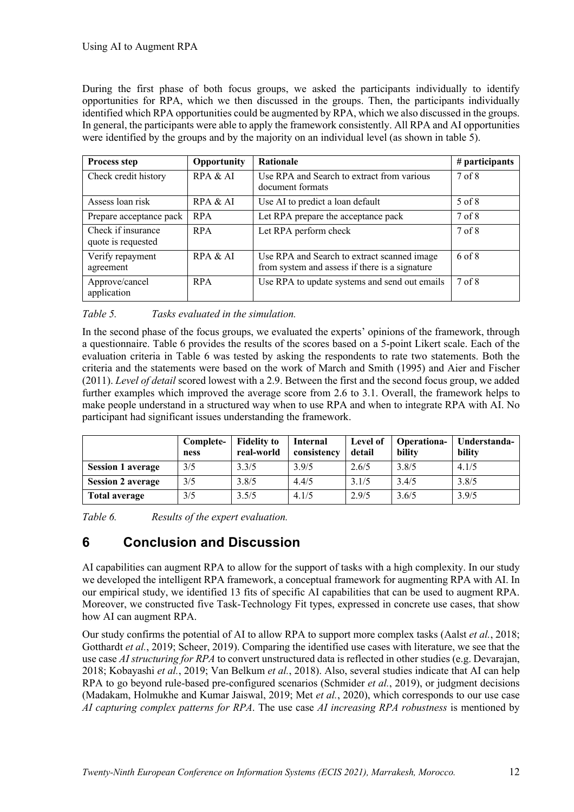During the first phase of both focus groups, we asked the participants individually to identify opportunities for RPA, which we then discussed in the groups. Then, the participants individually identified which RPA opportunities could be augmented by RPA, which we also discussed in the groups. In general, the participants were able to apply the framework consistently. All RPA and AI opportunities were identified by the groups and by the majority on an individual level (as shown in table 5).

| <b>Process step</b>                      | Opportunity | <b>Rationale</b>                                                                              | # participants    |
|------------------------------------------|-------------|-----------------------------------------------------------------------------------------------|-------------------|
| Check credit history                     | RPA & AI    | Use RPA and Search to extract from various<br>document formats                                | 7 <sub>of</sub> 8 |
| Assess loan risk                         | RPA & AI    | Use AI to predict a loan default                                                              | 5 of 8            |
| Prepare acceptance pack                  | <b>RPA</b>  | Let RPA prepare the acceptance pack                                                           | 7 <sub>of</sub> 8 |
| Check if insurance<br>quote is requested | <b>RPA</b>  | Let RPA perform check                                                                         | 7 of 8            |
| Verify repayment<br>agreement            | RPA & AI    | Use RPA and Search to extract scanned image<br>from system and assess if there is a signature | 6 of 8            |
| Approve/cancel<br>application            | <b>RPA</b>  | Use RPA to update systems and send out emails                                                 | 7 <sub>of</sub> 8 |

*Table 5. Tasks evaluated in the simulation.*

In the second phase of the focus groups, we evaluated the experts' opinions of the framework, through a questionnaire. Table 6 provides the results of the scores based on a 5-point Likert scale. Each of the evaluation criteria in Table 6 was tested by asking the respondents to rate two statements. Both the criteria and the statements were based on the work of March and Smith (1995) and Aier and Fischer (2011). *Level of detail* scored lowest with a 2.9. Between the first and the second focus group, we added further examples which improved the average score from 2.6 to 3.1. Overall, the framework helps to make people understand in a structured way when to use RPA and when to integrate RPA with AI. No participant had significant issues understanding the framework.

|                          | Complete-<br>ness | <b>Fidelity to</b><br>real-world | <b>Internal</b><br>consistency | Level of<br>detail | <b>Operationa-</b><br>bility | Understanda-<br>bility |
|--------------------------|-------------------|----------------------------------|--------------------------------|--------------------|------------------------------|------------------------|
| <b>Session 1 average</b> | 3/5               | 3.3/5                            | 3.9/5                          | 2.6/5              | 3.8/5                        | 4.1/5                  |
| <b>Session 2 average</b> | 3/5               | 3.8/5                            | 4.4/5                          | 3.1/5              | 3.4/5                        | 3.8/5                  |
| <b>Total average</b>     | 3/5               | 3.5/5                            | 4.1/5                          | 2.9/5              | 3.6/5                        | 3.9/5                  |

*Table 6. Results of the expert evaluation.*

# **6 Conclusion and Discussion**

AI capabilities can augment RPA to allow for the support of tasks with a high complexity. In our study we developed the intelligent RPA framework, a conceptual framework for augmenting RPA with AI. In our empirical study, we identified 13 fits of specific AI capabilities that can be used to augment RPA. Moreover, we constructed five Task-Technology Fit types, expressed in concrete use cases, that show how AI can augment RPA.

Our study confirms the potential of AI to allow RPA to support more complex tasks (Aalst *et al.*, 2018; Gotthardt *et al.*, 2019; Scheer, 2019). Comparing the identified use cases with literature, we see that the use case *AI structuring for RPA* to convert unstructured data is reflected in other studies (e.g. Devarajan, 2018; Kobayashi *et al.*, 2019; Van Belkum *et al.*, 2018). Also, several studies indicate that AI can help RPA to go beyond rule-based pre-configured scenarios (Schmider *et al.*, 2019), or judgment decisions (Madakam, Holmukhe and Kumar Jaiswal, 2019; Met *et al.*, 2020), which corresponds to our use case *AI capturing complex patterns for RPA*. The use case *AI increasing RPA robustness* is mentioned by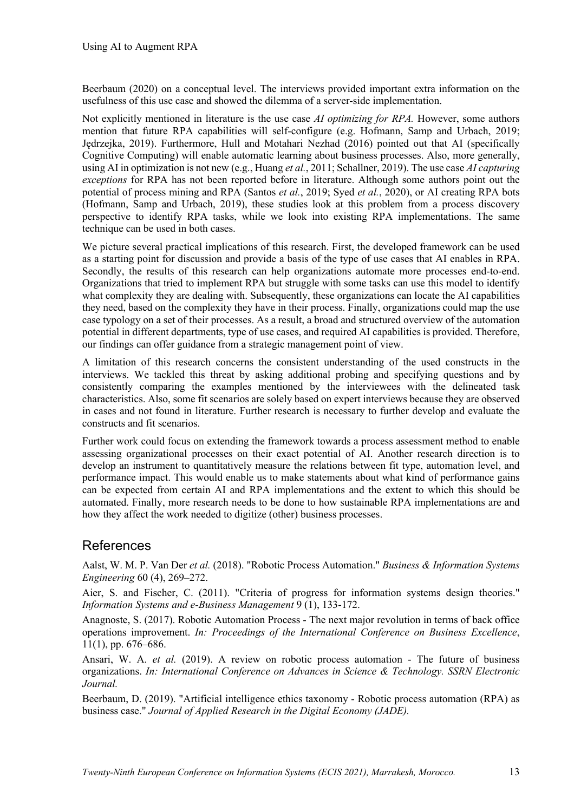Beerbaum (2020) on a conceptual level. The interviews provided important extra information on the usefulness of this use case and showed the dilemma of a server-side implementation.

Not explicitly mentioned in literature is the use case *AI optimizing for RPA.* However, some authors mention that future RPA capabilities will self-configure (e.g. Hofmann, Samp and Urbach, 2019; Jędrzejka, 2019). Furthermore, Hull and Motahari Nezhad (2016) pointed out that AI (specifically Cognitive Computing) will enable automatic learning about business processes. Also, more generally, using AI in optimization is not new (e.g., Huang *et al.*, 2011; Schallner, 2019). The use case *AI capturing exceptions* for RPA has not been reported before in literature. Although some authors point out the potential of process mining and RPA (Santos *et al.*, 2019; Syed *et al.*, 2020), or AI creating RPA bots (Hofmann, Samp and Urbach, 2019), these studies look at this problem from a process discovery perspective to identify RPA tasks, while we look into existing RPA implementations. The same technique can be used in both cases.

We picture several practical implications of this research. First, the developed framework can be used as a starting point for discussion and provide a basis of the type of use cases that AI enables in RPA. Secondly, the results of this research can help organizations automate more processes end-to-end. Organizations that tried to implement RPA but struggle with some tasks can use this model to identify what complexity they are dealing with. Subsequently, these organizations can locate the AI capabilities they need, based on the complexity they have in their process. Finally, organizations could map the use case typology on a set of their processes. As a result, a broad and structured overview of the automation potential in different departments, type of use cases, and required AI capabilities is provided. Therefore, our findings can offer guidance from a strategic management point of view.

A limitation of this research concerns the consistent understanding of the used constructs in the interviews. We tackled this threat by asking additional probing and specifying questions and by consistently comparing the examples mentioned by the interviewees with the delineated task characteristics. Also, some fit scenarios are solely based on expert interviews because they are observed in cases and not found in literature. Further research is necessary to further develop and evaluate the constructs and fit scenarios.

Further work could focus on extending the framework towards a process assessment method to enable assessing organizational processes on their exact potential of AI. Another research direction is to develop an instrument to quantitatively measure the relations between fit type, automation level, and performance impact. This would enable us to make statements about what kind of performance gains can be expected from certain AI and RPA implementations and the extent to which this should be automated. Finally, more research needs to be done to how sustainable RPA implementations are and how they affect the work needed to digitize (other) business processes.

## References

Aalst, W. M. P. Van Der *et al.* (2018). "Robotic Process Automation." *Business & Information Systems Engineering* 60 (4), 269–272.

Aier, S. and Fischer, C. (2011). "Criteria of progress for information systems design theories." *Information Systems and e-Business Management* 9 (1), 133-172.

Anagnoste, S. (2017). Robotic Automation Process - The next major revolution in terms of back office operations improvement. *In: Proceedings of the International Conference on Business Excellence*, 11(1), pp. 676–686.

Ansari, W. A. *et al.* (2019). A review on robotic process automation - The future of business organizations. *In: International Conference on Advances in Science & Technology. SSRN Electronic Journal.* 

Beerbaum, D. (2019). "Artificial intelligence ethics taxonomy - Robotic process automation (RPA) as business case." *Journal of Applied Research in the Digital Economy (JADE).*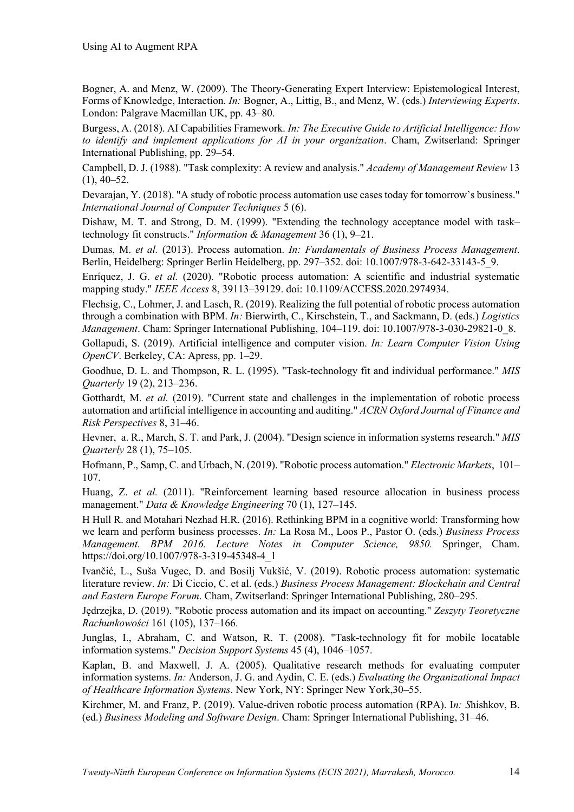Bogner, A. and Menz, W. (2009). The Theory-Generating Expert Interview: Epistemological Interest, Forms of Knowledge, Interaction. *In:* Bogner, A., Littig, B., and Menz, W. (eds.) *Interviewing Experts*. London: Palgrave Macmillan UK, pp. 43–80.

Burgess, A. (2018). AI Capabilities Framework. *In: The Executive Guide to Artificial Intelligence: How to identify and implement applications for AI in your organization*. Cham, Zwitserland: Springer International Publishing, pp. 29–54.

Campbell, D. J. (1988). "Task complexity: A review and analysis." *Academy of Management Review* 13  $(1), 40-52.$ 

Devarajan, Y. (2018). "A study of robotic process automation use cases today for tomorrow's business." *International Journal of Computer Techniques* 5 (6).

Dishaw, M. T. and Strong, D. M. (1999). "Extending the technology acceptance model with task– technology fit constructs." *Information & Management* 36 (1), 9–21.

Dumas, M. *et al.* (2013). Process automation. *In: Fundamentals of Business Process Management*. Berlin, Heidelberg: Springer Berlin Heidelberg, pp. 297–352. doi: 10.1007/978-3-642-33143-5\_9.

Enríquez, J. G. *et al.* (2020). "Robotic process automation: A scientific and industrial systematic mapping study." *IEEE Access* 8, 39113–39129. doi: 10.1109/ACCESS.2020.2974934.

Flechsig, C., Lohmer, J. and Lasch, R. (2019). Realizing the full potential of robotic process automation through a combination with BPM. *In:* Bierwirth, C., Kirschstein, T., and Sackmann, D. (eds.) *Logistics Management*. Cham: Springer International Publishing, 104–119. doi: 10.1007/978-3-030-29821-0\_8.

Gollapudi, S. (2019). Artificial intelligence and computer vision. *In: Learn Computer Vision Using OpenCV*. Berkeley, CA: Apress, pp. 1–29.

Goodhue, D. L. and Thompson, R. L. (1995). "Task-technology fit and individual performance." *MIS Quarterly* 19 (2), 213–236.

Gotthardt, M. *et al.* (2019). "Current state and challenges in the implementation of robotic process automation and artificial intelligence in accounting and auditing." *ACRN Oxford Journal of Finance and Risk Perspectives* 8, 31–46.

Hevner, a. R., March, S. T. and Park, J. (2004). "Design science in information systems research." *MIS Quarterly* 28 (1), 75–105.

Hofmann, P., Samp, C. and Urbach, N. (2019). "Robotic process automation." *Electronic Markets*, 101– 107.

Huang, Z. *et al.* (2011). "Reinforcement learning based resource allocation in business process management." *Data & Knowledge Engineering* 70 (1), 127–145.

H Hull R. and Motahari Nezhad H.R. (2016). Rethinking BPM in a cognitive world: Transforming how we learn and perform business processes. *In:* La Rosa M., Loos P., Pastor O. (eds.) *Business Process Management. BPM 2016. Lecture Notes in Computer Science, 9850.* Springer, Cham. https://doi.org/10.1007/978-3-319-45348-4\_1

Ivančić, L., Suša Vugec, D. and Bosilj Vukšić, V. (2019). Robotic process automation: systematic literature review. *In:* Di Ciccio, C. et al. (eds.) *Business Process Management: Blockchain and Central and Eastern Europe Forum*. Cham, Zwitserland: Springer International Publishing, 280–295.

Jędrzejka, D. (2019). "Robotic process automation and its impact on accounting." *Zeszyty Teoretyczne Rachunkowości* 161 (105), 137–166.

Junglas, I., Abraham, C. and Watson, R. T. (2008). "Task-technology fit for mobile locatable information systems." *Decision Support Systems* 45 (4), 1046–1057.

Kaplan, B. and Maxwell, J. A. (2005). Qualitative research methods for evaluating computer information systems. *In:* Anderson, J. G. and Aydin, C. E. (eds.) *Evaluating the Organizational Impact of Healthcare Information Systems*. New York, NY: Springer New York,30–55.

Kirchmer, M. and Franz, P. (2019). Value-driven robotic process automation (RPA). I*n: S*hishkov, B. (ed.) *Business Modeling and Software Design*. Cham: Springer International Publishing, 31–46.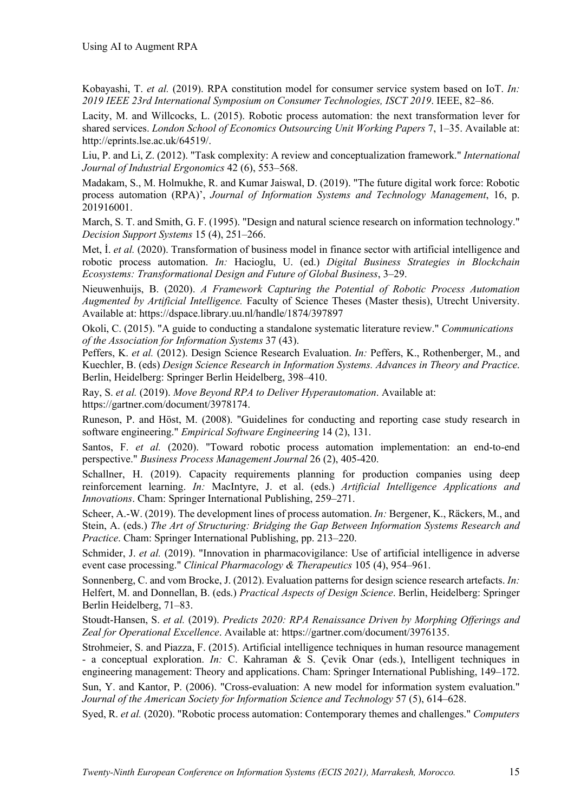Kobayashi, T. *et al.* (2019). RPA constitution model for consumer service system based on IoT. *In: 2019 IEEE 23rd International Symposium on Consumer Technologies, ISCT 2019*. IEEE, 82–86.

Lacity, M. and Willcocks, L. (2015). Robotic process automation: the next transformation lever for shared services. *London School of Economics Outsourcing Unit Working Papers* 7, 1–35. Available at: http://eprints.lse.ac.uk/64519/.

Liu, P. and Li, Z. (2012). "Task complexity: A review and conceptualization framework." *International Journal of Industrial Ergonomics* 42 (6), 553–568.

Madakam, S., M. Holmukhe, R. and Kumar Jaiswal, D. (2019). "The future digital work force: Robotic process automation (RPA)', *Journal of Information Systems and Technology Management*, 16, p. 201916001.

March, S. T. and Smith, G. F. (1995). "Design and natural science research on information technology." *Decision Support Systems* 15 (4), 251–266.

Met, İ. *et al.* (2020). Transformation of business model in finance sector with artificial intelligence and robotic process automation. *In:* Hacioglu, U. (ed.) *Digital Business Strategies in Blockchain Ecosystems: Transformational Design and Future of Global Business*, 3–29.

Nieuwenhuijs, B. (2020). *A Framework Capturing the Potential of Robotic Process Automation Augmented by Artificial Intelligence.* Faculty of Science Theses (Master thesis), Utrecht University. Available at: https://dspace.library.uu.nl/handle/1874/397897

Okoli, C. (2015). "A guide to conducting a standalone systematic literature review." *Communications of the Association for Information Systems* 37 (43).

Peffers, K. *et al.* (2012). Design Science Research Evaluation. *In:* Peffers, K., Rothenberger, M., and Kuechler, B. (eds) *Design Science Research in Information Systems. Advances in Theory and Practice*. Berlin, Heidelberg: Springer Berlin Heidelberg, 398–410.

Ray, S. *et al.* (2019). *Move Beyond RPA to Deliver Hyperautomation*. Available at:

https://gartner.com/document/3978174.

Runeson, P. and Höst, M. (2008). "Guidelines for conducting and reporting case study research in software engineering." *Empirical Software Engineering* 14 (2), 131.

Santos, F. *et al.* (2020). "Toward robotic process automation implementation: an end-to-end perspective." *Business Process Management Journal* 26 (2), 405-420.

Schallner, H. (2019). Capacity requirements planning for production companies using deep reinforcement learning. *In:* MacIntyre, J. et al. (eds.) *Artificial Intelligence Applications and Innovations*. Cham: Springer International Publishing, 259–271.

Scheer, A.-W. (2019). The development lines of process automation. *In:* Bergener, K., Räckers, M., and Stein, A. (eds.) *The Art of Structuring: Bridging the Gap Between Information Systems Research and Practice*. Cham: Springer International Publishing, pp. 213–220.

Schmider, J. *et al.* (2019). "Innovation in pharmacovigilance: Use of artificial intelligence in adverse event case processing." *Clinical Pharmacology & Therapeutics* 105 (4), 954–961.

Sonnenberg, C. and vom Brocke, J. (2012). Evaluation patterns for design science research artefacts. *In:* Helfert, M. and Donnellan, B. (eds.) *Practical Aspects of Design Science*. Berlin, Heidelberg: Springer Berlin Heidelberg, 71–83.

Stoudt-Hansen, S. *et al.* (2019). *Predicts 2020: RPA Renaissance Driven by Morphing Offerings and Zeal for Operational Excellence*. Available at: https://gartner.com/document/3976135.

Strohmeier, S. and Piazza, F. (2015). Artificial intelligence techniques in human resource management - a conceptual exploration. *In:* C. Kahraman & S. Çevik Onar (eds.), Intelligent techniques in engineering management: Theory and applications. Cham: Springer International Publishing, 149–172.

Sun, Y. and Kantor, P. (2006). "Cross-evaluation: A new model for information system evaluation." *Journal of the American Society for Information Science and Technology* 57 (5), 614–628.

Syed, R. *et al.* (2020). "Robotic process automation: Contemporary themes and challenges." *Computers*